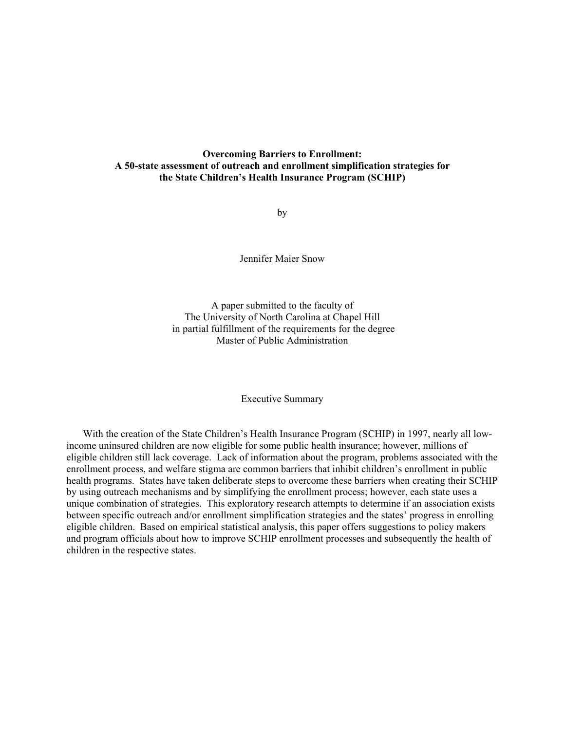## **Overcoming Barriers to Enrollment: A 50-state assessment of outreach and enrollment simplification strategies for the State Children's Health Insurance Program (SCHIP)**

by

Jennifer Maier Snow

A paper submitted to the faculty of The University of North Carolina at Chapel Hill in partial fulfillment of the requirements for the degree Master of Public Administration

Executive Summary

With the creation of the State Children's Health Insurance Program (SCHIP) in 1997, nearly all lowincome uninsured children are now eligible for some public health insurance; however, millions of eligible children still lack coverage. Lack of information about the program, problems associated with the enrollment process, and welfare stigma are common barriers that inhibit children's enrollment in public health programs. States have taken deliberate steps to overcome these barriers when creating their SCHIP by using outreach mechanisms and by simplifying the enrollment process; however, each state uses a unique combination of strategies. This exploratory research attempts to determine if an association exists between specific outreach and/or enrollment simplification strategies and the states' progress in enrolling eligible children. Based on empirical statistical analysis, this paper offers suggestions to policy makers and program officials about how to improve SCHIP enrollment processes and subsequently the health of children in the respective states.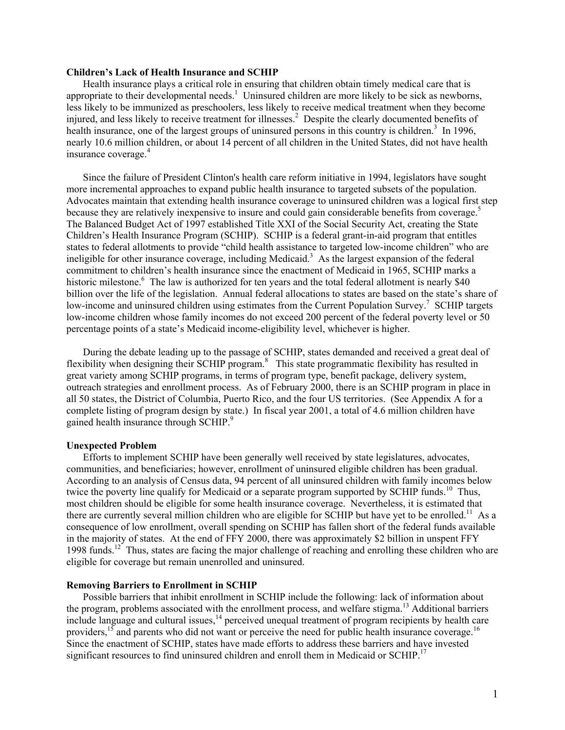#### **Children's Lack of Health Insurance and SCHIP**

Health insurance plays a critical role in ensuring that children obtain timely medical care that is appropriate to their developmental needs.<sup>1</sup> Uninsured children are more likely to be sick as newborns, less likely to be immunized as preschoolers, less likely to receive medical treatment when they become injured, and less likely to receive treatment for illnesses.<sup>2</sup> Despite the clearly documented benefits of health insurance, one of the largest groups of uninsured persons in this country is children.<sup>3</sup> In 1996, nearly 10.6 million children, or about 14 percent of all children in the United States, did not have health insurance coverage.<sup>4</sup>

Since the failure of President Clinton's health care reform initiative in 1994, legislators have sought more incremental approaches to expand public health insurance to targeted subsets of the population. Advocates maintain that extending health insurance coverage to uninsured children was a logical first step because they are relatively inexpensive to insure and could gain considerable benefits from coverage.<sup>5</sup> The Balanced Budget Act of 1997 established Title XXI of the Social Security Act, creating the State Children's Health Insurance Program (SCHIP). SCHIP is a federal grant-in-aid program that entitles states to federal allotments to provide "child health assistance to targeted low-income children" who are ineligible for other insurance coverage, including Medicaid.<sup>3</sup> As the largest expansion of the federal commitment to children's health insurance since the enactment of Medicaid in 1965, SCHIP marks a historic milestone.<sup>6</sup> The law is authorized for ten years and the total federal allotment is nearly \$40 billion over the life of the legislation. Annual federal allocations to states are based on the state's share of low-income and uninsured children using estimates from the Current Population Survey.<sup>7</sup> SCHIP targets low-income children whose family incomes do not exceed 200 percent of the federal poverty level or 50 percentage points of a state's Medicaid income-eligibility level, whichever is higher.

During the debate leading up to the passage of SCHIP, states demanded and received a great deal of flexibility when designing their SCHIP program.<sup>8</sup> This state programmatic flexibility has resulted in great variety among SCHIP programs, in terms of program type, benefit package, delivery system, outreach strategies and enrollment process. As of February 2000, there is an SCHIP program in place in all 50 states, the District of Columbia, Puerto Rico, and the four US territories. (See Appendix A for a complete listing of program design by state.) In fiscal year 2001, a total of 4.6 million children have gained health insurance through SCHIP.<sup>9</sup>

#### **Unexpected Problem**

Efforts to implement SCHIP have been generally well received by state legislatures, advocates, communities, and beneficiaries; however, enrollment of uninsured eligible children has been gradual. According to an analysis of Census data, 94 percent of all uninsured children with family incomes below twice the poverty line qualify for Medicaid or a separate program supported by SCHIP funds.<sup>10</sup> Thus, most children should be eligible for some health insurance coverage. Nevertheless, it is estimated that there are currently several million children who are eligible for SCHIP but have yet to be enrolled.<sup>11</sup> As a consequence of low enrollment, overall spending on SCHIP has fallen short of the federal funds available in the majority of states. At the end of FFY 2000, there was approximately \$2 billion in unspent FFY 1998 funds.12 Thus, states are facing the major challenge of reaching and enrolling these children who are eligible for coverage but remain unenrolled and uninsured.

#### **Removing Barriers to Enrollment in SCHIP**

Possible barriers that inhibit enrollment in SCHIP include the following: lack of information about the program, problems associated with the enrollment process, and welfare stigma.<sup>13</sup> Additional barriers include language and cultural issues,  $^{14}$  perceived unequal treatment of program recipients by health care providers,<sup>15</sup> and parents who did not want or perceive the need for public health insurance coverage.<sup>16</sup> Since the enactment of SCHIP, states have made efforts to address these barriers and have invested significant resources to find uninsured children and enroll them in Medicaid or  $SCHIP$ <sup>17</sup>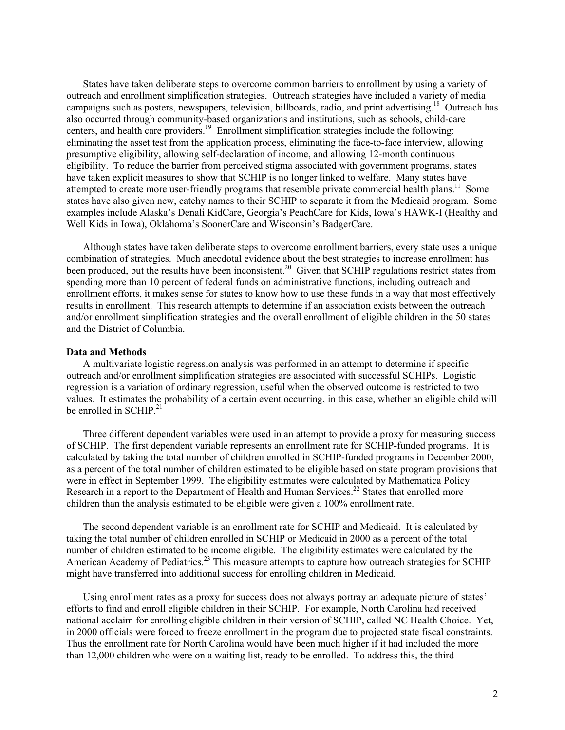States have taken deliberate steps to overcome common barriers to enrollment by using a variety of outreach and enrollment simplification strategies. Outreach strategies have included a variety of media campaigns such as posters, newspapers, television, billboards, radio, and print advertising.<sup>18</sup> Outreach has also occurred through community-based organizations and institutions, such as schools, child-care centers, and health care providers.<sup>19</sup> Enrollment simplification strategies include the following: eliminating the asset test from the application process, eliminating the face-to-face interview, allowing presumptive eligibility, allowing self-declaration of income, and allowing 12-month continuous eligibility. To reduce the barrier from perceived stigma associated with government programs, states have taken explicit measures to show that SCHIP is no longer linked to welfare. Many states have attempted to create more user-friendly programs that resemble private commercial health plans.<sup>11</sup> Some states have also given new, catchy names to their SCHIP to separate it from the Medicaid program. Some examples include Alaska's Denali KidCare, Georgia's PeachCare for Kids, Iowa's HAWK-I (Healthy and Well Kids in Iowa), Oklahoma's SoonerCare and Wisconsin's BadgerCare.

Although states have taken deliberate steps to overcome enrollment barriers, every state uses a unique combination of strategies. Much anecdotal evidence about the best strategies to increase enrollment has been produced, but the results have been inconsistent.<sup>20</sup> Given that SCHIP regulations restrict states from spending more than 10 percent of federal funds on administrative functions, including outreach and enrollment efforts, it makes sense for states to know how to use these funds in a way that most effectively results in enrollment. This research attempts to determine if an association exists between the outreach and/or enrollment simplification strategies and the overall enrollment of eligible children in the 50 states and the District of Columbia.

#### **Data and Methods**

A multivariate logistic regression analysis was performed in an attempt to determine if specific outreach and/or enrollment simplification strategies are associated with successful SCHIPs. Logistic regression is a variation of ordinary regression, useful when the observed outcome is restricted to two values. It estimates the probability of a certain event occurring, in this case, whether an eligible child will be enrolled in SCHIP.<sup>21</sup>

Three different dependent variables were used in an attempt to provide a proxy for measuring success of SCHIP. The first dependent variable represents an enrollment rate for SCHIP-funded programs. It is calculated by taking the total number of children enrolled in SCHIP-funded programs in December 2000, as a percent of the total number of children estimated to be eligible based on state program provisions that were in effect in September 1999. The eligibility estimates were calculated by Mathematica Policy Research in a report to the Department of Health and Human Services.<sup>22</sup> States that enrolled more children than the analysis estimated to be eligible were given a 100% enrollment rate.

The second dependent variable is an enrollment rate for SCHIP and Medicaid. It is calculated by taking the total number of children enrolled in SCHIP or Medicaid in 2000 as a percent of the total number of children estimated to be income eligible. The eligibility estimates were calculated by the American Academy of Pediatrics.<sup>23</sup> This measure attempts to capture how outreach strategies for SCHIP might have transferred into additional success for enrolling children in Medicaid.

Using enrollment rates as a proxy for success does not always portray an adequate picture of states' efforts to find and enroll eligible children in their SCHIP. For example, North Carolina had received national acclaim for enrolling eligible children in their version of SCHIP, called NC Health Choice. Yet, in 2000 officials were forced to freeze enrollment in the program due to projected state fiscal constraints. Thus the enrollment rate for North Carolina would have been much higher if it had included the more than 12,000 children who were on a waiting list, ready to be enrolled. To address this, the third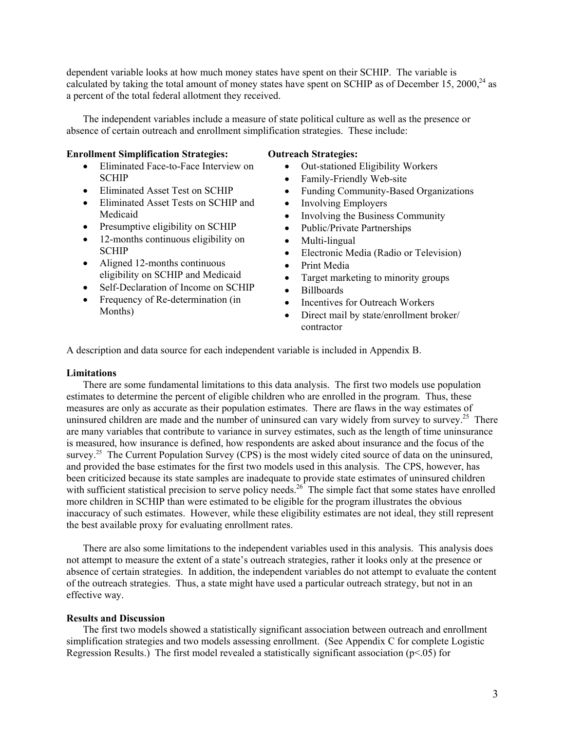dependent variable looks at how much money states have spent on their SCHIP. The variable is calculated by taking the total amount of money states have spent on SCHIP as of December 15, 2000,<sup>24</sup> as a percent of the total federal allotment they received.

The independent variables include a measure of state political culture as well as the presence or absence of certain outreach and enrollment simplification strategies. These include:

#### **Enrollment Simplification Strategies:**

- Eliminated Face-to-Face Interview on **SCHIP**
- Eliminated Asset Test on SCHIP
- Eliminated Asset Tests on SCHIP and Medicaid
- Presumptive eligibility on SCHIP
- 12-months continuous eligibility on **SCHIP**
- Aligned 12-months continuous eligibility on SCHIP and Medicaid
- Self-Declaration of Income on SCHIP
- Frequency of Re-determination (in Months)

## **Outreach Strategies:**

- Out-stationed Eligibility Workers
- Family-Friendly Web-site
- Funding Community-Based Organizations
- Involving Employers
- Involving the Business Community
- Public/Private Partnerships
- Multi-lingual
- Electronic Media (Radio or Television)
- Print Media
- Target marketing to minority groups
- Billboards
- Incentives for Outreach Workers
- Direct mail by state/enrollment broker/ contractor

A description and data source for each independent variable is included in Appendix B.

#### **Limitations**

There are some fundamental limitations to this data analysis. The first two models use population estimates to determine the percent of eligible children who are enrolled in the program. Thus, these measures are only as accurate as their population estimates. There are flaws in the way estimates of uninsured children are made and the number of uninsured can vary widely from survey to survey.<sup>25</sup> There are many variables that contribute to variance in survey estimates, such as the length of time uninsurance is measured, how insurance is defined, how respondents are asked about insurance and the focus of the survey.<sup>25</sup> The Current Population Survey (CPS) is the most widely cited source of data on the uninsured, and provided the base estimates for the first two models used in this analysis. The CPS, however, has been criticized because its state samples are inadequate to provide state estimates of uninsured children with sufficient statistical precision to serve policy needs.<sup>26</sup> The simple fact that some states have enrolled more children in SCHIP than were estimated to be eligible for the program illustrates the obvious inaccuracy of such estimates. However, while these eligibility estimates are not ideal, they still represent the best available proxy for evaluating enrollment rates.

There are also some limitations to the independent variables used in this analysis. This analysis does not attempt to measure the extent of a state's outreach strategies, rather it looks only at the presence or absence of certain strategies. In addition, the independent variables do not attempt to evaluate the content of the outreach strategies. Thus, a state might have used a particular outreach strategy, but not in an effective way.

## **Results and Discussion**

The first two models showed a statistically significant association between outreach and enrollment simplification strategies and two models assessing enrollment. (See Appendix C for complete Logistic Regression Results.) The first model revealed a statistically significant association (p<.05) for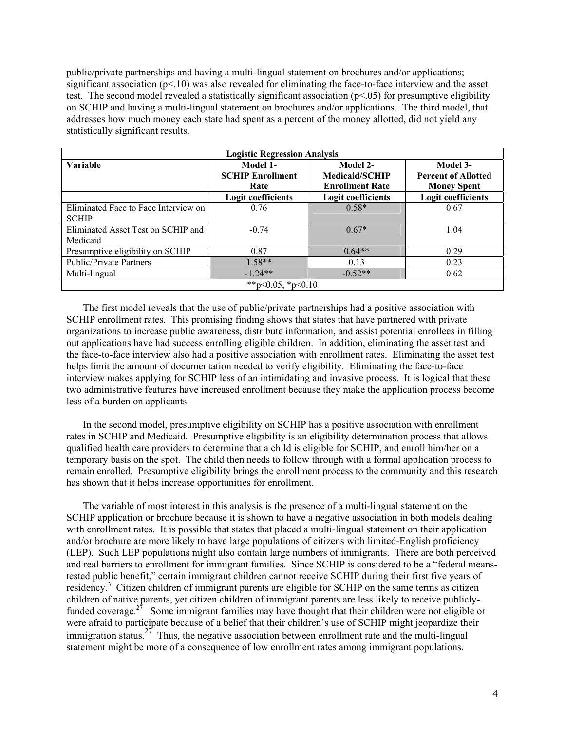public/private partnerships and having a multi-lingual statement on brochures and/or applications; significant association ( $p<10$ ) was also revealed for eliminating the face-to-face interview and the asset test. The second model revealed a statistically significant association ( $p<05$ ) for presumptive eligibility on SCHIP and having a multi-lingual statement on brochures and/or applications. The third model, that addresses how much money each state had spent as a percent of the money allotted, did not yield any statistically significant results.

| <b>Logistic Regression Analysis</b>  |                           |                           |                            |  |  |  |
|--------------------------------------|---------------------------|---------------------------|----------------------------|--|--|--|
| <b>Variable</b>                      | Model 1-                  | Model 2-                  | Model 3-                   |  |  |  |
|                                      | <b>SCHIP Enrollment</b>   | <b>Medicaid/SCHIP</b>     | <b>Percent of Allotted</b> |  |  |  |
|                                      | Rate                      | <b>Enrollment Rate</b>    | <b>Money Spent</b>         |  |  |  |
|                                      | <b>Logit coefficients</b> | <b>Logit coefficients</b> | <b>Logit coefficients</b>  |  |  |  |
| Eliminated Face to Face Interview on | 0.76                      | $0.58*$                   | 0.67                       |  |  |  |
| <b>SCHIP</b>                         |                           |                           |                            |  |  |  |
| Eliminated Asset Test on SCHIP and   | $-0.74$                   | $0.67*$                   | 1.04                       |  |  |  |
| Medicaid                             |                           |                           |                            |  |  |  |
| Presumptive eligibility on SCHIP     | 0.87                      | $0.64**$                  | 0.29                       |  |  |  |
| <b>Public/Private Partners</b>       | $1.58**$                  | 0.13                      | 0.23                       |  |  |  |
| Multi-lingual                        | $-1.24**$                 | $-0.52**$                 | 0.62                       |  |  |  |
| **p<0.05, *p<0.10                    |                           |                           |                            |  |  |  |

The first model reveals that the use of public/private partnerships had a positive association with SCHIP enrollment rates. This promising finding shows that states that have partnered with private organizations to increase public awareness, distribute information, and assist potential enrollees in filling out applications have had success enrolling eligible children. In addition, eliminating the asset test and the face-to-face interview also had a positive association with enrollment rates. Eliminating the asset test helps limit the amount of documentation needed to verify eligibility. Eliminating the face-to-face interview makes applying for SCHIP less of an intimidating and invasive process. It is logical that these two administrative features have increased enrollment because they make the application process become less of a burden on applicants.

In the second model, presumptive eligibility on SCHIP has a positive association with enrollment rates in SCHIP and Medicaid. Presumptive eligibility is an eligibility determination process that allows qualified health care providers to determine that a child is eligible for SCHIP, and enroll him/her on a temporary basis on the spot. The child then needs to follow through with a formal application process to remain enrolled. Presumptive eligibility brings the enrollment process to the community and this research has shown that it helps increase opportunities for enrollment.

The variable of most interest in this analysis is the presence of a multi-lingual statement on the SCHIP application or brochure because it is shown to have a negative association in both models dealing with enrollment rates. It is possible that states that placed a multi-lingual statement on their application and/or brochure are more likely to have large populations of citizens with limited-English proficiency (LEP). Such LEP populations might also contain large numbers of immigrants. There are both perceived and real barriers to enrollment for immigrant families. Since SCHIP is considered to be a "federal meanstested public benefit," certain immigrant children cannot receive SCHIP during their first five years of residency.<sup>3</sup> Citizen children of immigrant parents are eligible for SCHIP on the same terms as citizen children of native parents, yet citizen children of immigrant parents are less likely to receive publiclyfunded coverage.<sup>27</sup> Some immigrant families may have thought that their children were not eligible or were afraid to participate because of a belief that their children's use of SCHIP might jeopardize their immigration status.<sup>27</sup> Thus, the negative association between enrollment rate and the multi-lingual statement might be more of a consequence of low enrollment rates among immigrant populations.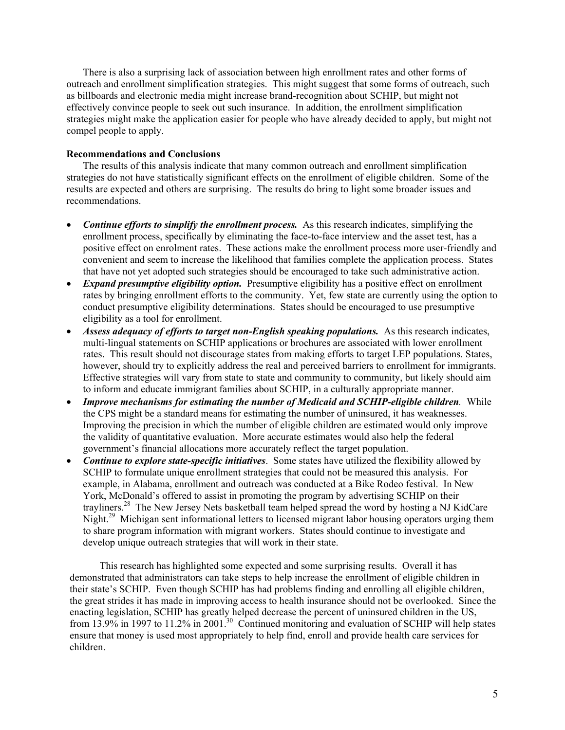There is also a surprising lack of association between high enrollment rates and other forms of outreach and enrollment simplification strategies. This might suggest that some forms of outreach, such as billboards and electronic media might increase brand-recognition about SCHIP, but might not effectively convince people to seek out such insurance. In addition, the enrollment simplification strategies might make the application easier for people who have already decided to apply, but might not compel people to apply.

## **Recommendations and Conclusions**

The results of this analysis indicate that many common outreach and enrollment simplification strategies do not have statistically significant effects on the enrollment of eligible children. Some of the results are expected and others are surprising. The results do bring to light some broader issues and recommendations.

- *Continue efforts to simplify the enrollment process.* As this research indicates, simplifying the enrollment process, specifically by eliminating the face-to-face interview and the asset test, has a positive effect on enrolment rates. These actions make the enrollment process more user-friendly and convenient and seem to increase the likelihood that families complete the application process. States that have not yet adopted such strategies should be encouraged to take such administrative action.
- *Expand presumptive eligibility option.* Presumptive eligibility has a positive effect on enrollment rates by bringing enrollment efforts to the community. Yet, few state are currently using the option to conduct presumptive eligibility determinations. States should be encouraged to use presumptive eligibility as a tool for enrollment.
- *Assess adequacy of efforts to target non-English speaking populations.* As this research indicates, multi-lingual statements on SCHIP applications or brochures are associated with lower enrollment rates. This result should not discourage states from making efforts to target LEP populations. States, however, should try to explicitly address the real and perceived barriers to enrollment for immigrants. Effective strategies will vary from state to state and community to community, but likely should aim to inform and educate immigrant families about SCHIP, in a culturally appropriate manner.
- *Improve mechanisms for estimating the number of Medicaid and SCHIP-eligible children.* While the CPS might be a standard means for estimating the number of uninsured, it has weaknesses. Improving the precision in which the number of eligible children are estimated would only improve the validity of quantitative evaluation. More accurate estimates would also help the federal government's financial allocations more accurately reflect the target population.
- *Continue to explore state-specific initiatives*. Some states have utilized the flexibility allowed by SCHIP to formulate unique enrollment strategies that could not be measured this analysis. For example, in Alabama, enrollment and outreach was conducted at a Bike Rodeo festival. In New York, McDonald's offered to assist in promoting the program by advertising SCHIP on their trayliners.<sup>28</sup> The New Jersey Nets basketball team helped spread the word by hosting a NJ KidCare Night.<sup>29</sup> Michigan sent informational letters to licensed migrant labor housing operators urging them to share program information with migrant workers. States should continue to investigate and develop unique outreach strategies that will work in their state.

This research has highlighted some expected and some surprising results. Overall it has demonstrated that administrators can take steps to help increase the enrollment of eligible children in their state's SCHIP. Even though SCHIP has had problems finding and enrolling all eligible children, the great strides it has made in improving access to health insurance should not be overlooked. Since the enacting legislation, SCHIP has greatly helped decrease the percent of uninsured children in the US, from 13.9% in 1997 to 11.2% in 2001.<sup>30</sup> Continued monitoring and evaluation of SCHIP will help states ensure that money is used most appropriately to help find, enroll and provide health care services for children.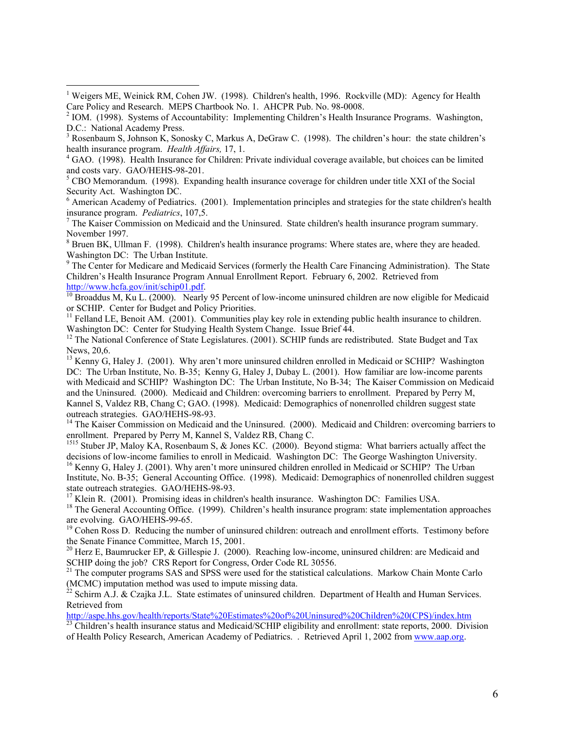<sup>1</sup> Weigers ME, Weinick RM, Cohen JW. (1998). Children's health, 1996. Rockville (MD): Agency for Health Care Policy and Research. MEPS Chartbook No. 1. AHCPR Pub. No. 98-0008.

1

<sup>2</sup> IOM. (1998). Systems of Accountability: Implementing Children's Health Insurance Programs. Washington, D.C.: National Academy Press.

<sup>3</sup> Rosenbaum S, Johnson K, Sonosky C, Markus A, DeGraw C. (1998). The children's hour: the state children's health insurance program. *Health Affairs*, 17, 1.

<sup>4</sup> GAO. (1998). Health Insurance for Children: Private individual coverage available, but choices can be limited

and costs vary. GAO/HEHS-98-201.<br><sup>5</sup> CBO Memorandum. (1998). Expanding health insurance coverage for children under title XXI of the Social Security Act. Washington DC.

<sup>6</sup> American Academy of Pediatrics. (2001). Implementation principles and strategies for the state children's health insurance program. *Pediatrics*, 107,5.

<sup>7</sup> The Kaiser Commission on Medicaid and the Uninsured. State children's health insurance program summary. November 1997.

 $8$  Bruen BK, Ullman F. (1998). Children's health insurance programs: Where states are, where they are headed. Washington DC: The Urban Institute.

<sup>9</sup> The Center for Medicare and Medicaid Services (formerly the Health Care Financing Administration). The State Children's Health Insurance Program Annual Enrollment Report. February 6, 2002. Retrieved from

http://www.hcfa.gov/init/schip01.pdf.<br><sup>10</sup> Broaddus M, Ku L. (2000). Nearly 95 Percent of low-income uninsured children are now eligible for Medicaid or SCHIP. Center for Budget and Policy Priorities.

<sup>11</sup> Felland LE, Benoit AM. (2001). Communities play key role in extending public health insurance to children. Washington DC: Center for Studying Health System Change. Issue Brief 44.

<sup>12</sup> The National Conference of State Legislatures. (2001). SCHIP funds are redistributed. State Budget and Tax News, 20,6.

<sup>13</sup> Kenny G, Haley J. (2001). Why aren't more uninsured children enrolled in Medicaid or SCHIP? Washington DC: The Urban Institute, No. B-35; Kenny G, Haley J, Dubay L. (2001). How familiar are low-income parents with Medicaid and SCHIP? Washington DC: The Urban Institute, No B-34; The Kaiser Commission on Medicaid and the Uninsured. (2000). Medicaid and Children: overcoming barriers to enrollment. Prepared by Perry M, Kannel S, Valdez RB, Chang C; GAO. (1998). Medicaid: Demographics of nonenrolled children suggest state outreach strategies. GAO/HEHS-98-93.<br><sup>14</sup> The Kaiser Commission on Medicaid and the Uninsured. (2000). Medicaid and Children: overcoming barriers to

enrollment. Prepared by Perry M, Kannel S, Valdez RB, Chang C.<br><sup>1515</sup> Stuber JP, Maloy KA, Rosenbaum S, & Jones KC. (2000). Beyond stigma: What barriers actually affect the

decisions of low-income families to enroll in Medicaid. Washington DC: The George Washington University.

<sup>16</sup> Kenny G, Haley J. (2001). Why aren't more uninsured children enrolled in Medicaid or SCHIP? The Urban Institute, No. B-35; General Accounting Office. (1998). Medicaid: Demographics of nonenrolled children suggest state outreach strategies. GAO/HEHS-98-93.

<sup>17</sup> Klein R. (2001). Promising ideas in children's health insurance. Washington DC: Families USA.

<sup>18</sup> The General Accounting Office. (1999). Children's health insurance program: state implementation approaches are evolving. GAO/HEHS-99-65.

<sup>19</sup> Cohen Ross D. Reducing the number of uninsured children: outreach and enrollment efforts. Testimony before the Senate Finance Committee, March 15, 2001.

<sup>20</sup> Herz E, Baumrucker EP,  $\&$  Gillespie J. (2000). Reaching low-income, uninsured children: are Medicaid and SCHIP doing the job? CRS Report for Congress, Order Code RL 30556.

<sup>21</sup> The computer programs SAS and SPSS were used for the statistical calculations. Markow Chain Monte Carlo (MCMC) imputation method was used to impute missing data.<br><sup>22</sup> Schirm A.J. & Czajka J.L. State estimates of uninsured children. Department of Health and Human Services.

Retrieved from

http://aspe.hhs.gov/health/reports/State%20Estimates%20of%20Uninsured%20Children%20(CPS)/index.htm<br><sup>23</sup> Children's health insurance status and Medicaid/SCHIP eligibility and enrollment: state reports, 2000. Division

of Health Policy Research, American Academy of Pediatrics. . Retrieved April 1, 2002 from www.aap.org.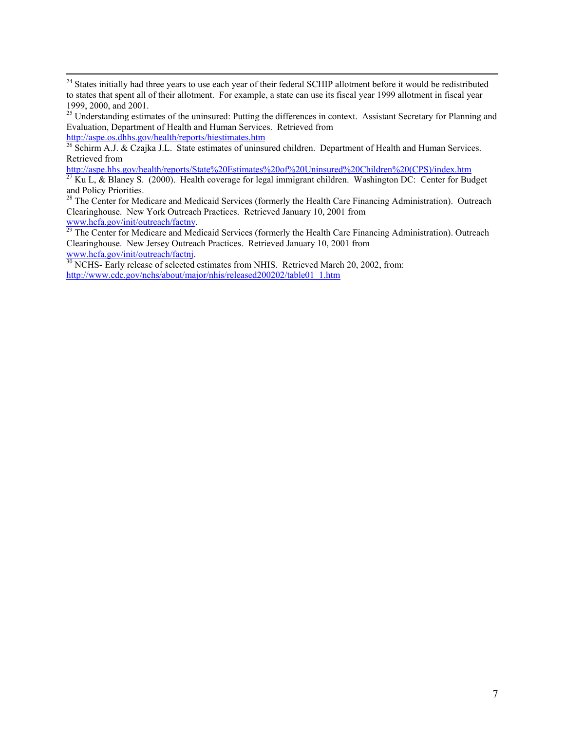<sup>25</sup> Understanding estimates of the uninsured: Putting the differences in context. Assistant Secretary for Planning and Evaluation, Department of Health and Human Services. Retrieved from http://aspe.os.dhhs.gov/health/reports/hiestimates.htm

<sup>26</sup> Schirm A.J. & Czajka J.L. State estimates of uninsured children. Department of Health and Human Services. Retrieved from<br>http://aspe.hhs.gov/health/reports/State%20Estimates%20of%20Uninsured%20Children%20(CPS)/index.htm

 $\frac{27}{27}$  Ku L, & Blaney S. (2000). Health coverage for legal immigrant children. Washington DC: Center for Budget and Policy Priorities.

<sup>28</sup> The Center for Medicare and Medicaid Services (formerly the Health Care Financing Administration). Outreach Clearinghouse. New York Outreach Practices. Retrieved January 10, 2001 from

www.hcfa.gov/init/outreach/factny.<br><sup>29</sup> The Center for Medicare and Medicaid Services (formerly the Health Care Financing Administration). Outreach Clearinghouse. New Jersey Outreach Practices. Retrieved January 10, 2001 from

www.hcfa.gov/init/outreach/factnj.<br><sup>30</sup> NCHS- Early release of selected estimates from NHIS. Retrieved March 20, 2002, from: http://www.cdc.gov/nchs/about/major/nhis/released200202/table01\_1.htm

<sup>&</sup>lt;sup>24</sup> States initially had three years to use each year of their federal SCHIP allotment before it would be redistributed to states that spent all of their allotment. For example, a state can use its fiscal year 1999 allotment in fiscal year 1999, 2000, and 2001.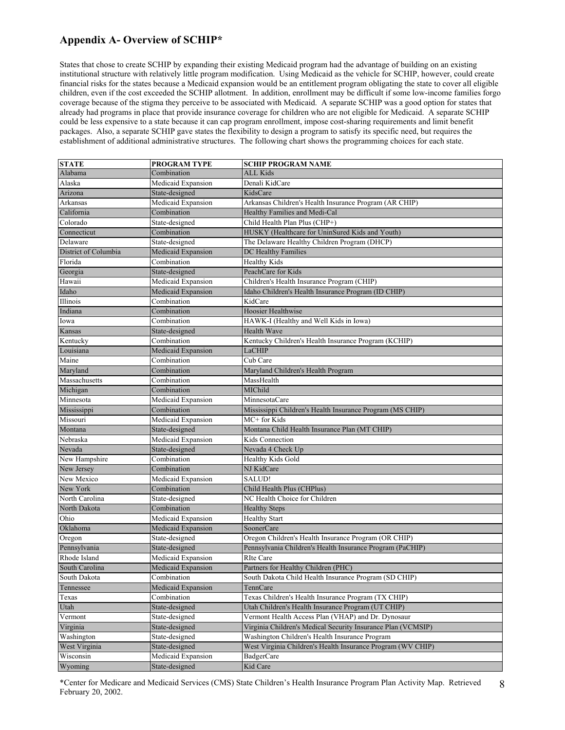# **Appendix A- Overview of SCHIP\***

States that chose to create SCHIP by expanding their existing Medicaid program had the advantage of building on an existing institutional structure with relatively little program modification. Using Medicaid as the vehicle for SCHIP, however, could create financial risks for the states because a Medicaid expansion would be an entitlement program obligating the state to cover all eligible children, even if the cost exceeded the SCHIP allotment. In addition, enrollment may be difficult if some low-income families forgo coverage because of the stigma they perceive to be associated with Medicaid. A separate SCHIP was a good option for states that already had programs in place that provide insurance coverage for children who are not eligible for Medicaid. A separate SCHIP could be less expensive to a state because it can cap program enrollment, impose cost-sharing requirements and limit benefit packages. Also, a separate SCHIP gave states the flexibility to design a program to satisfy its specific need, but requires the establishment of additional administrative structures. The following chart shows the programming choices for each state.

| <b>STATE</b>         | <b>PROGRAM TYPE</b>       | <b>SCHIP PROGRAM NAME</b>                                    |
|----------------------|---------------------------|--------------------------------------------------------------|
| Alabama              | Combination               | <b>ALL Kids</b>                                              |
| Alaska               | Medicaid Expansion        | Denali KidCare                                               |
| Arizona              | State-designed            | KidsCare                                                     |
| Arkansas             | Medicaid Expansion        | Arkansas Children's Health Insurance Program (AR CHIP)       |
| California           | Combination               | Healthy Families and Medi-Cal                                |
| Colorado             | State-designed            | Child Health Plan Plus (CHP+)                                |
| Connecticut          | Combination               | HUSKY (Healthcare for UninSured Kids and Youth)              |
| Delaware             | State-designed            | The Delaware Healthy Children Program (DHCP)                 |
| District of Columbia | Medicaid Expansion        | DC Healthy Families                                          |
| Florida              | Combination               | <b>Healthy Kids</b>                                          |
| Georgia              | State-designed            | PeachCare for Kids                                           |
| Hawaii               | Medicaid Expansion        | Children's Health Insurance Program (CHIP)                   |
| Idaho                | Medicaid Expansion        | Idaho Children's Health Insurance Program (ID CHIP)          |
| Illinois             | Combination               | KidCare                                                      |
| Indiana              | Combination               | Hoosier Healthwise                                           |
| Iowa                 | Combination               | HAWK-I (Healthy and Well Kids in Iowa)                       |
| Kansas               | State-designed            | Health Wave                                                  |
| Kentucky             | Combination               | Kentucky Children's Health Insurance Program (KCHIP)         |
| Louisiana            | <b>Medicaid Expansion</b> | LaCHIP                                                       |
| Maine                | Combination               | Cub Care                                                     |
| Maryland             | Combination               | Maryland Children's Health Program                           |
| Massachusetts        | Combination               | MassHealth                                                   |
| Michigan             | Combination               | MIChild                                                      |
| Minnesota            | Medicaid Expansion        | MinnesotaCare                                                |
| Mississippi          | Combination               | Mississippi Children's Health Insurance Program (MS CHIP)    |
| Missouri             | Medicaid Expansion        | MC+ for Kids                                                 |
| Montana              | State-designed            | Montana Child Health Insurance Plan (MT CHIP)                |
| Nebraska             | Medicaid Expansion        | Kids Connection                                              |
| Nevada               | State-designed            | Nevada 4 Check Up                                            |
| New Hampshire        | Combination               | Healthy Kids Gold                                            |
| New Jersey           | Combination               | NJ KidCare                                                   |
| New Mexico           | Medicaid Expansion        | SALUD!                                                       |
| New York             | Combination               | Child Health Plus (CHPlus)                                   |
| North Carolina       | State-designed            | NC Health Choice for Children                                |
| North Dakota         | Combination               | <b>Healthy Steps</b>                                         |
| Ohio                 | Medicaid Expansion        | <b>Healthy Start</b>                                         |
| Oklahoma             | Medicaid Expansion        | SoonerCare                                                   |
| Oregon               | State-designed            | Oregon Children's Health Insurance Program (OR CHIP)         |
| Pennsylvania         | State-designed            | Pennsylvania Children's Health Insurance Program (PaCHIP)    |
| Rhode Island         | Medicaid Expansion        | <b>RIte Care</b>                                             |
| South Carolina       | Medicaid Expansion        | Partners for Healthy Children (PHC)                          |
| South Dakota         | Combination               | South Dakota Child Health Insurance Program (SD CHIP)        |
| Tennessee            | Medicaid Expansion        | TennCare                                                     |
| Texas                | Combination               | Texas Children's Health Insurance Program (TX CHIP)          |
| Utah                 | State-designed            | Utah Children's Health Insurance Program (UT CHIP)           |
| Vermont              | State-designed            | Vermont Health Access Plan (VHAP) and Dr. Dynosaur           |
| Virginia             | State-designed            | Virginia Children's Medical Security Insurance Plan (VCMSIP) |
| Washington           | State-designed            | Washington Children's Health Insurance Program               |
| West Virginia        | State-designed            | West Virginia Children's Health Insurance Program (WV CHIP)  |
| Wisconsin            | Medicaid Expansion        | <b>BadgerCare</b>                                            |
| Wyoming              | State-designed            | Kid Care                                                     |

\*Center for Medicare and Medicaid Services (CMS) State Children's Health Insurance Program Plan Activity Map. Retrieved February 20, 2002. 8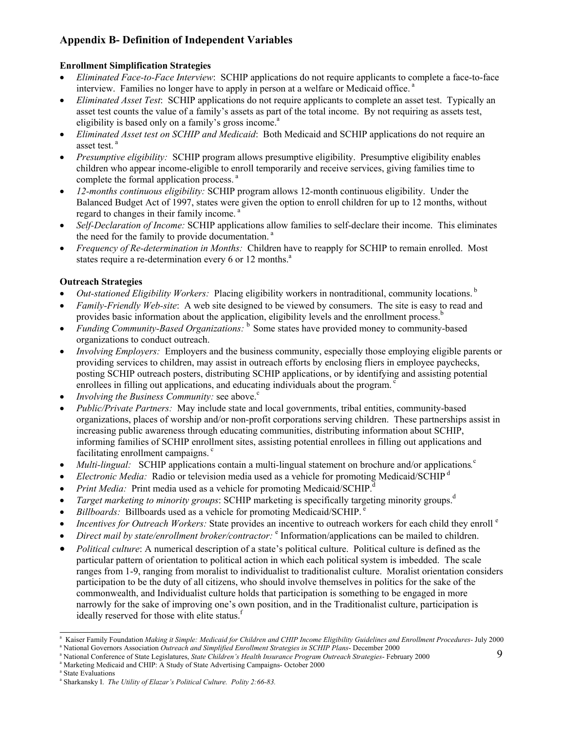# **Appendix B- Definition of Independent Variables**

## **Enrollment Simplification Strategies**

- *Eliminated Face-to-Face Interview*: SCHIP applications do not require applicants to complete a face-to-face interview. Families no longer have to apply in person at a welfare or Medicaid office.<sup>a</sup>
- *Eliminated Asset Test*: SCHIP applications do not require applicants to complete an asset test. Typically an asset test counts the value of a family's assets as part of the total income. By not requiring as assets test, eligibility is based only on a family's gross income. $a$
- *Eliminated Asset test on SCHIP and Medicaid*: Both Medicaid and SCHIP applications do not require an asset test.<sup>a</sup>
- *Presumptive eligibility:* SCHIP program allows presumptive eligibility. Presumptive eligibility enables children who appear income-eligible to enroll temporarily and receive services, giving families time to complete the formal application process.<sup>a</sup>
- *12-months continuous eligibility:* SCHIP program allows 12-month continuous eligibility. Under the Balanced Budget Act of 1997, states were given the option to enroll children for up to 12 months, without regard to changes in their family income.<sup>8</sup>
- *Self-Declaration of Income:* SCHIP applications allow families to self-declare their income. This eliminates the need for the family to provide documentation.<sup>a</sup>
- *Frequency of Re-determination in Months:* Children have to reapply for SCHIP to remain enrolled. Most states require a re-determination every  $6$  or 12 months.<sup>a</sup>

## **Outreach Strategies**

- *Out-stationed Eligibility Workers:* Placing eligibility workers in nontraditional, community locations. b
- *Family-Friendly Web-site*: A web site designed to be viewed by consumers. The site is easy to read and provides basic information about the application, eligibility levels and the enrollment process.<sup>b</sup>
- *Funding Community-Based Organizations:* b Some states have provided money to community-based organizations to conduct outreach.
- *Involving Employers:* Employers and the business community, especially those employing eligible parents or providing services to children, may assist in outreach efforts by enclosing fliers in employee paychecks, posting SCHIP outreach posters, distributing SCHIP applications, or by identifying and assisting potential enrollees in filling out applications, and educating individuals about the program.<sup>c</sup>
- *Involving the Business Community:* see above.<sup>c</sup>
- *Public/Private Partners:* May include state and local governments, tribal entities, community-based organizations, places of worship and/or non-profit corporations serving children. These partnerships assist in increasing public awareness through educating communities, distributing information about SCHIP, informing families of SCHIP enrollment sites, assisting potential enrollees in filling out applications and facilitating enrollment campaigns. $\degree$
- *Multi-lingual:* SCHIP applications contain a multi-lingual statement on brochure and/or applications.<sup>c</sup>
- *Electronic Media:* Radio or television media used as a vehicle for promoting Medicaid/SCHIP d
- *Print Media:* Print media used as a vehicle for promoting Medicaid/SCHIP.
- *Target marketing to minority groups*: SCHIP marketing is specifically targeting minority groups.<sup>d</sup>
- *Billboards:* Billboards used as a vehicle for promoting Medicaid/SCHIP. e
- *Incentives for Outreach Workers:* State provides an incentive to outreach workers for each child they enroll <sup>e</sup>
- *Direct mail by state/enrollment broker/contractor:* <sup>e</sup> Information/applications can be mailed to children.
- *Political culture*: A numerical description of a state's political culture. Political culture is defined as the particular pattern of orientation to political action in which each political system is imbedded. The scale ranges from 1-9, ranging from moralist to individualist to traditionalist culture. Moralist orientation considers participation to be the duty of all citizens, who should involve themselves in politics for the sake of the commonwealth, and Individualist culture holds that participation is something to be engaged in more narrowly for the sake of improving one's own position, and in the Traditionalist culture, participation is ideally reserved for those with elite status.<sup>f</sup>

<sup>&</sup>lt;sup>a</sup> Kaiser Family Foundation *Making it Simple: Medicaid for Children and CHIP Income Eligibility Guidelines and Enrollment Procedures- July 2000* <sup>a</sup> National Governors Association Outreach and Simplified Enrollment Strategies in SCHIP Plans- December 2000

National Conference of State Legislatures, *State Children's Health Insurance Program Outreach Strategies*- February 2000

<sup>&</sup>lt;sup>a</sup> Marketing Medicaid and CHIP: A Study of State Advertising Campaigns- October 2000

<sup>&</sup>lt;sup>a</sup> State Evaluations

<sup>&</sup>lt;sup>a</sup> Sharkansky I. *The Utility of Elazar's Political Culture. Polity 2:66-83.*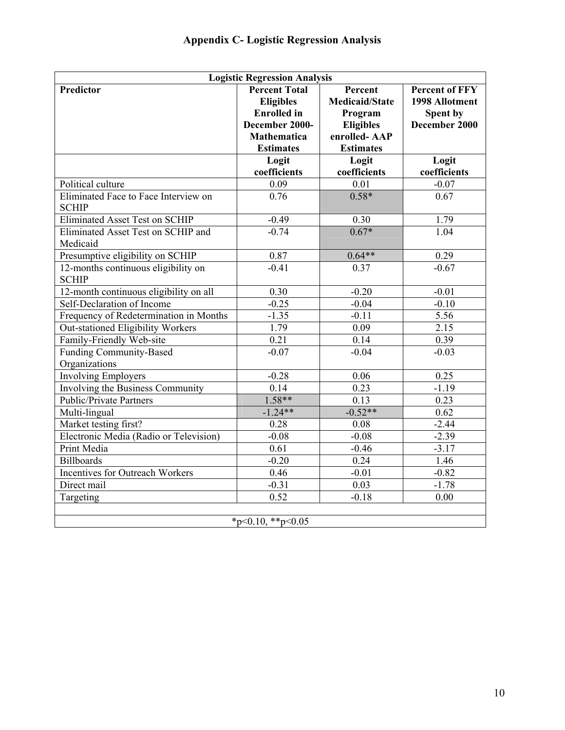| <b>Logistic Regression Analysis</b>                  |                                                                                                                            |                                                                                                     |                                                                      |  |  |
|------------------------------------------------------|----------------------------------------------------------------------------------------------------------------------------|-----------------------------------------------------------------------------------------------------|----------------------------------------------------------------------|--|--|
| <b>Predictor</b>                                     | <b>Percent Total</b><br><b>Eligibles</b><br><b>Enrolled</b> in<br>December 2000-<br><b>Mathematica</b><br><b>Estimates</b> | Percent<br><b>Medicaid/State</b><br>Program<br><b>Eligibles</b><br>enrolled-AAP<br><b>Estimates</b> | <b>Percent of FFY</b><br>1998 Allotment<br>Spent by<br>December 2000 |  |  |
|                                                      | Logit<br>coefficients                                                                                                      | Logit<br>coefficients                                                                               | Logit<br>coefficients                                                |  |  |
| Political culture                                    | 0.09                                                                                                                       | 0.01                                                                                                | $-0.07$                                                              |  |  |
| Eliminated Face to Face Interview on<br><b>SCHIP</b> | 0.76                                                                                                                       | $0.58*$                                                                                             | 0.67                                                                 |  |  |
| <b>Eliminated Asset Test on SCHIP</b>                | $-0.49$                                                                                                                    | 0.30                                                                                                | 1.79                                                                 |  |  |
| Eliminated Asset Test on SCHIP and<br>Medicaid       | $-0.74$                                                                                                                    | $0.67*$                                                                                             | 1.04                                                                 |  |  |
| Presumptive eligibility on SCHIP                     | 0.87                                                                                                                       | $0.64**$                                                                                            | 0.29                                                                 |  |  |
| 12-months continuous eligibility on<br><b>SCHIP</b>  | $-0.41$                                                                                                                    | 0.37                                                                                                | $-0.67$                                                              |  |  |
| 12-month continuous eligibility on all               | 0.30                                                                                                                       | $-0.20$                                                                                             | $-0.01$                                                              |  |  |
| Self-Declaration of Income                           | $-0.25$                                                                                                                    | $-0.04$                                                                                             | $-0.10$                                                              |  |  |
| Frequency of Redetermination in Months               | $-1.35$                                                                                                                    | $-0.11$                                                                                             | 5.56                                                                 |  |  |
| <b>Out-stationed Eligibility Workers</b>             | 1.79                                                                                                                       | 0.09                                                                                                | 2.15                                                                 |  |  |
| Family-Friendly Web-site                             | 0.21                                                                                                                       | 0.14                                                                                                | 0.39                                                                 |  |  |
| <b>Funding Community-Based</b><br>Organizations      | $-0.07$                                                                                                                    | $-0.04$                                                                                             | $-0.03$                                                              |  |  |
| <b>Involving Employers</b>                           | $-0.28$                                                                                                                    | 0.06                                                                                                | 0.25                                                                 |  |  |
| Involving the Business Community                     | 0.14                                                                                                                       | 0.23                                                                                                | $-1.19$                                                              |  |  |
| <b>Public/Private Partners</b>                       | $1.58**$                                                                                                                   | 0.13                                                                                                | 0.23                                                                 |  |  |
| Multi-lingual                                        | $-1.24**$                                                                                                                  | $-0.52**$                                                                                           | 0.62                                                                 |  |  |
| Market testing first?                                | 0.28                                                                                                                       | 0.08                                                                                                | $-2.44$                                                              |  |  |
| Electronic Media (Radio or Television)               | $-0.08$                                                                                                                    | $-0.08$                                                                                             | $-2.39$                                                              |  |  |
| Print Media                                          | 0.61                                                                                                                       | $-0.46$                                                                                             | $-3.17$                                                              |  |  |
| <b>Billboards</b>                                    | $-0.20$                                                                                                                    | 0.24                                                                                                | 1.46                                                                 |  |  |
| Incentives for Outreach Workers                      | 0.46                                                                                                                       | $-0.01$                                                                                             | $-0.82$                                                              |  |  |
| Direct mail                                          | $-0.31$                                                                                                                    | 0.03                                                                                                | $-1.78$                                                              |  |  |
| Targeting                                            | 0.52                                                                                                                       | $-0.18$                                                                                             | 0.00                                                                 |  |  |
| *p<0.10, **p<0.05                                    |                                                                                                                            |                                                                                                     |                                                                      |  |  |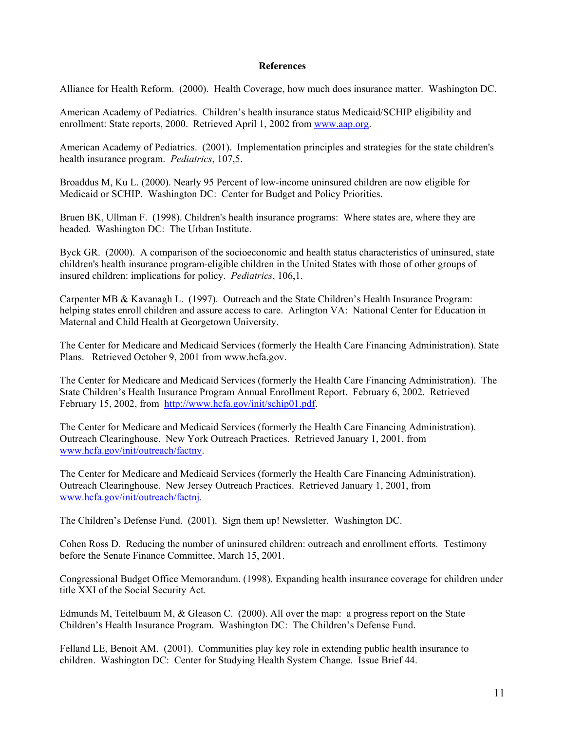## **References**

Alliance for Health Reform. (2000). Health Coverage, how much does insurance matter. Washington DC.

American Academy of Pediatrics. Children's health insurance status Medicaid/SCHIP eligibility and enrollment: State reports, 2000. Retrieved April 1, 2002 from www.aap.org.

American Academy of Pediatrics. (2001). Implementation principles and strategies for the state children's health insurance program. *Pediatrics*, 107,5.

Broaddus M, Ku L. (2000). Nearly 95 Percent of low-income uninsured children are now eligible for Medicaid or SCHIP. Washington DC: Center for Budget and Policy Priorities.

Bruen BK, Ullman F. (1998). Children's health insurance programs: Where states are, where they are headed. Washington DC: The Urban Institute.

Byck GR. (2000). A comparison of the socioeconomic and health status characteristics of uninsured, state children's health insurance program-eligible children in the United States with those of other groups of insured children: implications for policy. *Pediatrics*, 106,1.

Carpenter MB & Kavanagh L. (1997). Outreach and the State Children's Health Insurance Program: helping states enroll children and assure access to care. Arlington VA: National Center for Education in Maternal and Child Health at Georgetown University.

The Center for Medicare and Medicaid Services (formerly the Health Care Financing Administration). State Plans. Retrieved October 9, 2001 from www.hcfa.gov.

The Center for Medicare and Medicaid Services (formerly the Health Care Financing Administration). The State Children's Health Insurance Program Annual Enrollment Report. February 6, 2002. Retrieved February 15, 2002, from http://www.hcfa.gov/init/schip01.pdf.

The Center for Medicare and Medicaid Services (formerly the Health Care Financing Administration). Outreach Clearinghouse. New York Outreach Practices. Retrieved January 1, 2001, from www.hcfa.gov/init/outreach/factny.

The Center for Medicare and Medicaid Services (formerly the Health Care Financing Administration). Outreach Clearinghouse. New Jersey Outreach Practices. Retrieved January 1, 2001, from www.hcfa.gov/init/outreach/factnj.

The Children's Defense Fund. (2001). Sign them up! Newsletter. Washington DC.

Cohen Ross D. Reducing the number of uninsured children: outreach and enrollment efforts. Testimony before the Senate Finance Committee, March 15, 2001.

Congressional Budget Office Memorandum. (1998). Expanding health insurance coverage for children under title XXI of the Social Security Act.

Edmunds M, Teitelbaum M, & Gleason C. (2000). All over the map: a progress report on the State Children's Health Insurance Program. Washington DC: The Children's Defense Fund.

Felland LE, Benoit AM. (2001). Communities play key role in extending public health insurance to children. Washington DC: Center for Studying Health System Change. Issue Brief 44.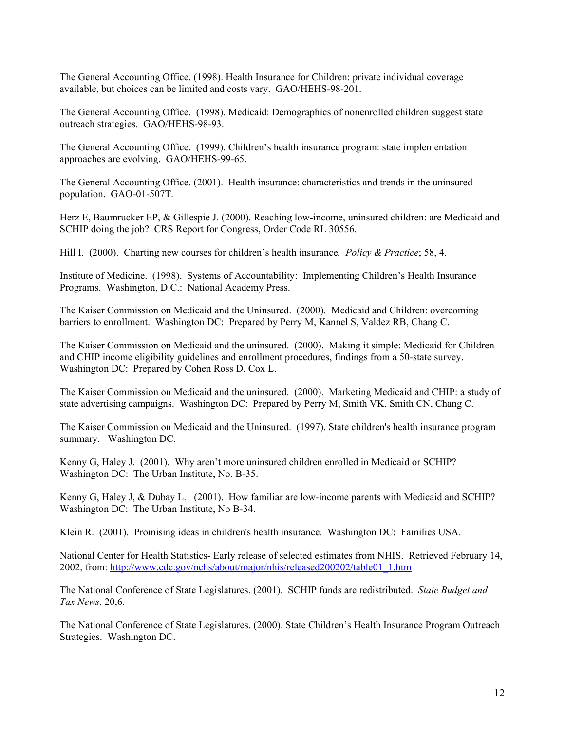The General Accounting Office. (1998). Health Insurance for Children: private individual coverage available, but choices can be limited and costs vary. GAO/HEHS-98-201.

The General Accounting Office. (1998). Medicaid: Demographics of nonenrolled children suggest state outreach strategies. GAO/HEHS-98-93.

The General Accounting Office. (1999). Children's health insurance program: state implementation approaches are evolving. GAO/HEHS-99-65.

The General Accounting Office. (2001). Health insurance: characteristics and trends in the uninsured population. GAO-01-507T.

Herz E, Baumrucker EP, & Gillespie J. (2000). Reaching low-income, uninsured children: are Medicaid and SCHIP doing the job? CRS Report for Congress, Order Code RL 30556.

Hill I. (2000). Charting new courses for children's health insurance*. Policy & Practice*; 58, 4.

Institute of Medicine. (1998). Systems of Accountability: Implementing Children's Health Insurance Programs. Washington, D.C.: National Academy Press.

The Kaiser Commission on Medicaid and the Uninsured. (2000). Medicaid and Children: overcoming barriers to enrollment. Washington DC: Prepared by Perry M, Kannel S, Valdez RB, Chang C.

The Kaiser Commission on Medicaid and the uninsured. (2000). Making it simple: Medicaid for Children and CHIP income eligibility guidelines and enrollment procedures, findings from a 50-state survey. Washington DC: Prepared by Cohen Ross D, Cox L.

The Kaiser Commission on Medicaid and the uninsured. (2000). Marketing Medicaid and CHIP: a study of state advertising campaigns. Washington DC: Prepared by Perry M, Smith VK, Smith CN, Chang C.

The Kaiser Commission on Medicaid and the Uninsured. (1997). State children's health insurance program summary. Washington DC.

Kenny G, Haley J. (2001). Why aren't more uninsured children enrolled in Medicaid or SCHIP? Washington DC: The Urban Institute, No. B-35.

Kenny G, Haley J, & Dubay L. (2001). How familiar are low-income parents with Medicaid and SCHIP? Washington DC: The Urban Institute, No B-34.

Klein R. (2001). Promising ideas in children's health insurance. Washington DC: Families USA.

National Center for Health Statistics- Early release of selected estimates from NHIS. Retrieved February 14, 2002, from: http://www.cdc.gov/nchs/about/major/nhis/released200202/table01\_1.htm

The National Conference of State Legislatures. (2001). SCHIP funds are redistributed. *State Budget and Tax News*, 20,6.

The National Conference of State Legislatures. (2000). State Children's Health Insurance Program Outreach Strategies. Washington DC.